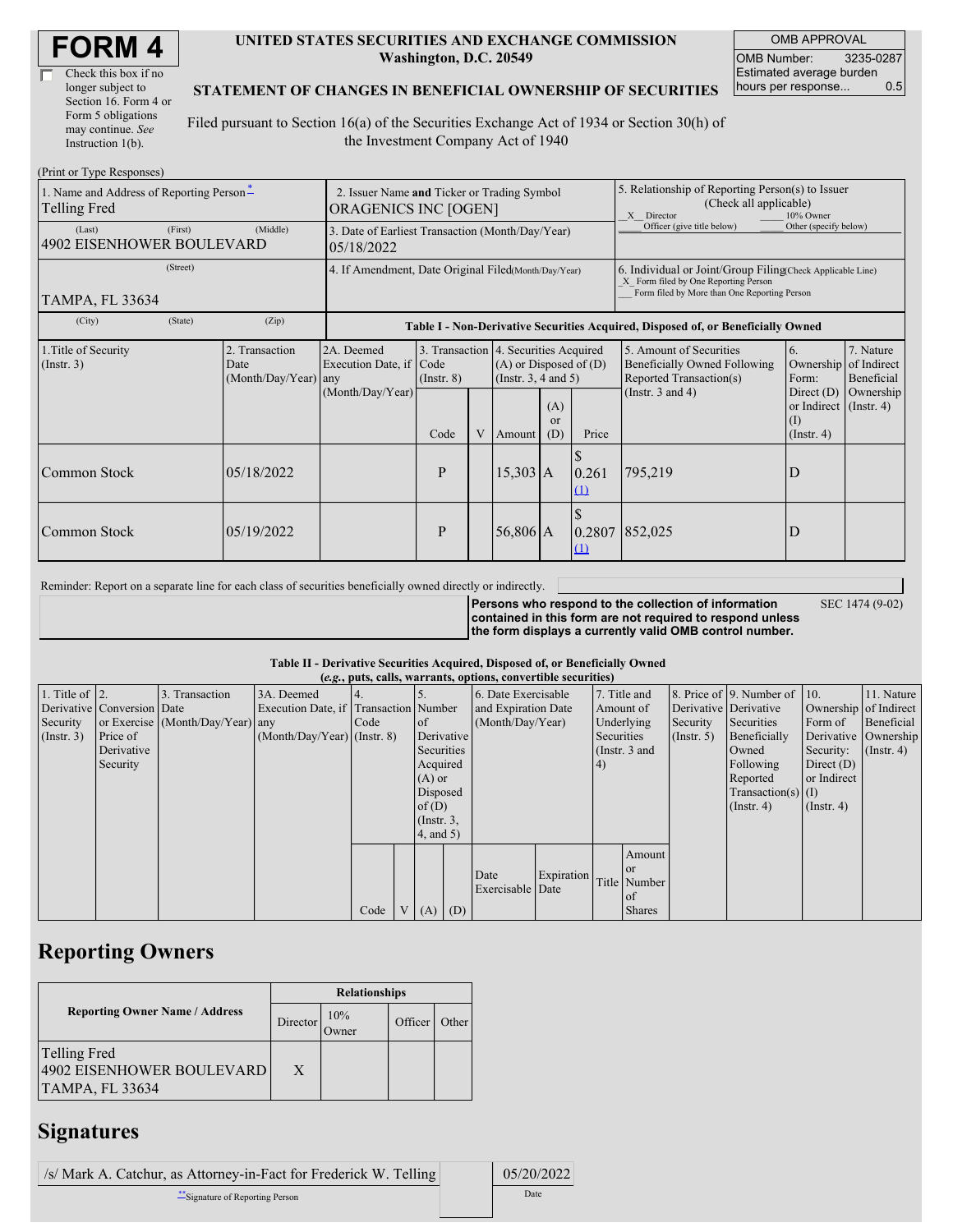| Check this box if no  |
|-----------------------|
| longer subject to     |
| Section 16. Form 4 or |
| Form 5 obligations    |
| may continue. See     |
| Instruction 1(b).     |

#### **UNITED STATES SECURITIES AND EXCHANGE COMMISSION Washington, D.C. 20549**

OMB APPROVAL OMB Number: 3235-0287 Estimated average burden hours per response... 0.5

#### **STATEMENT OF CHANGES IN BENEFICIAL OWNERSHIP OF SECURITIES**

Filed pursuant to Section 16(a) of the Securities Exchange Act of 1934 or Section 30(h) of the Investment Company Act of 1940

| (Print or Type Responses)                                       |                                                                            |                                                                                  |                 |   |                      |                                                                                                                     |                                                                                                                                                    |                                                                                                             |                                                                                 |                                                     |  |
|-----------------------------------------------------------------|----------------------------------------------------------------------------|----------------------------------------------------------------------------------|-----------------|---|----------------------|---------------------------------------------------------------------------------------------------------------------|----------------------------------------------------------------------------------------------------------------------------------------------------|-------------------------------------------------------------------------------------------------------------|---------------------------------------------------------------------------------|-----------------------------------------------------|--|
| 1. Name and Address of Reporting Person-<br><b>Telling Fred</b> | 2. Issuer Name and Ticker or Trading Symbol<br><b>ORAGENICS INC [OGEN]</b> |                                                                                  |                 |   |                      |                                                                                                                     | 5. Relationship of Reporting Person(s) to Issuer<br>(Check all applicable)<br>X Director<br>10% Owner                                              |                                                                                                             |                                                                                 |                                                     |  |
| (First)<br>(Last)<br><b>4902 EISENHOWER BOULEVARD</b>           | 3. Date of Earliest Transaction (Month/Day/Year)<br>05/18/2022             |                                                                                  |                 |   |                      |                                                                                                                     | Officer (give title below)                                                                                                                         | Other (specify below)                                                                                       |                                                                                 |                                                     |  |
| (Street)<br>TAMPA, FL 33634                                     | 4. If Amendment, Date Original Filed(Month/Day/Year)                       |                                                                                  |                 |   |                      |                                                                                                                     | 6. Individual or Joint/Group Filing Check Applicable Line)<br>X Form filed by One Reporting Person<br>Form filed by More than One Reporting Person |                                                                                                             |                                                                                 |                                                     |  |
| (City)<br>(State)                                               | (Zip)                                                                      | Table I - Non-Derivative Securities Acquired, Disposed of, or Beneficially Owned |                 |   |                      |                                                                                                                     |                                                                                                                                                    |                                                                                                             |                                                                                 |                                                     |  |
| 1. Title of Security<br>(Insert. 3)                             | 2. Transaction<br>Date<br>(Month/Day/Year)                                 | 2A. Deemed<br>Execution Date, if Code<br>any<br>(Month/Day/Year)                 | $($ Instr. $8)$ |   |                      | 3. Transaction 4. Securities Acquired<br>$(A)$ or Disposed of $(D)$<br>(Instr. $3, 4$ and $5$ )<br>(A)<br><b>or</b> |                                                                                                                                                    | 5. Amount of Securities<br>Beneficially Owned Following<br>Reported Transaction(s)<br>(Instr. $3$ and $4$ ) | 6.<br>Ownership<br>Form:<br>Direct $(D)$<br>or Indirect $($ Instr. 4 $)$<br>(1) | 7. Nature<br>of Indirect<br>Beneficial<br>Ownership |  |
| Common Stock                                                    | 05/18/2022                                                                 |                                                                                  | Code<br>P       | V | Amount<br>$15,303$ A | (D)                                                                                                                 | Price<br>\$.<br>0.261                                                                                                                              | 795,219                                                                                                     | $($ Instr. 4 $)$<br>D                                                           |                                                     |  |
|                                                                 |                                                                            |                                                                                  |                 |   |                      |                                                                                                                     | (1)                                                                                                                                                |                                                                                                             |                                                                                 |                                                     |  |
| Common Stock                                                    | 05/19/2022                                                                 |                                                                                  | P               |   | $56,806$ A           |                                                                                                                     | 0.2807<br>$\Omega$                                                                                                                                 | 852,025                                                                                                     | D                                                                               |                                                     |  |

Reminder: Report on a separate line for each class of securities beneficially owned directly or indirectly.

**Persons who respond to the collection of information contained in this form are not required to respond unless the form displays a currently valid OMB control number.**

SEC 1474 (9-02)

**Table II - Derivative Securities Acquired, Disposed of, or Beneficially Owned**

|                        | (e.g., puts, calls, warrants, options, convertible securities) |                                  |                                       |      |                |                 |            |                          |               |              |               |              |                              |                      |                       |
|------------------------|----------------------------------------------------------------|----------------------------------|---------------------------------------|------|----------------|-----------------|------------|--------------------------|---------------|--------------|---------------|--------------|------------------------------|----------------------|-----------------------|
| 1. Title of $\vert$ 2. |                                                                | 3. Transaction                   | 3A. Deemed                            |      |                |                 |            | 6. Date Exercisable      |               | 7. Title and |               |              | 8. Price of 9. Number of 10. |                      | 11. Nature            |
|                        | Derivative Conversion Date                                     |                                  | Execution Date, if Transaction Number |      |                |                 |            | and Expiration Date      |               | Amount of    |               |              | Derivative Derivative        |                      | Ownership of Indirect |
| Security               |                                                                | or Exercise (Month/Day/Year) any |                                       | Code |                | $\circ$ f       |            | (Month/Day/Year)         |               | Underlying   |               | Security     | Securities                   | Form of              | Beneficial            |
| (Insert. 3)            | Price of                                                       |                                  | $(Month/Day/Year)$ (Instr. 8)         |      |                |                 | Derivative |                          | Securities    |              | (Insert, 5)   | Beneficially |                              | Derivative Ownership |                       |
|                        | Derivative                                                     |                                  |                                       |      |                | Securities      |            |                          | (Instr. 3 and |              |               | Owned        | Security:                    | $($ Instr. 4 $)$     |                       |
|                        | Security                                                       |                                  |                                       |      |                |                 | Acquired   |                          | (4)           |              |               | Following    | Direct $(D)$                 |                      |                       |
|                        |                                                                |                                  |                                       |      |                | $(A)$ or        |            |                          |               |              |               |              | Reported                     | or Indirect          |                       |
|                        |                                                                |                                  |                                       |      |                | Disposed        |            |                          |               |              |               |              | $Transaction(s)$ (I)         |                      |                       |
|                        |                                                                |                                  |                                       |      |                | of $(D)$        |            |                          |               |              |               |              | $($ Instr. 4)                | $($ Instr. 4 $)$     |                       |
|                        |                                                                |                                  |                                       |      |                | $($ Instr. $3,$ |            |                          |               |              |               |              |                              |                      |                       |
|                        |                                                                |                                  |                                       |      |                | 4, and 5)       |            |                          |               |              |               |              |                              |                      |                       |
|                        |                                                                |                                  |                                       |      |                |                 |            |                          |               |              | Amount        |              |                              |                      |                       |
|                        |                                                                |                                  |                                       |      |                |                 |            |                          |               |              | <b>or</b>     |              |                              |                      |                       |
|                        |                                                                |                                  |                                       |      |                |                 |            | Date<br>Exercisable Date | Expiration    |              | Title Number  |              |                              |                      |                       |
|                        |                                                                |                                  |                                       |      |                |                 |            |                          |               |              | of            |              |                              |                      |                       |
|                        |                                                                |                                  |                                       | Code | V <sub>1</sub> | $(A)$ $(D)$     |            |                          |               |              | <b>Shares</b> |              |                              |                      |                       |

## **Reporting Owners**

|                                                              | <b>Relationships</b> |              |         |       |  |  |  |
|--------------------------------------------------------------|----------------------|--------------|---------|-------|--|--|--|
| <b>Reporting Owner Name / Address</b>                        | Director             | 10%<br>Jwner | Officer | Other |  |  |  |
| Telling Fred<br>4902 EISENHOWER BOULEVARD<br>TAMPA, FL 33634 | X                    |              |         |       |  |  |  |

### **Signatures**

/s/ Mark A. Catchur, as Attorney-in-Fact for Frederick W. Telling 05/20/2022 \*\*Signature of Reporting Person Date